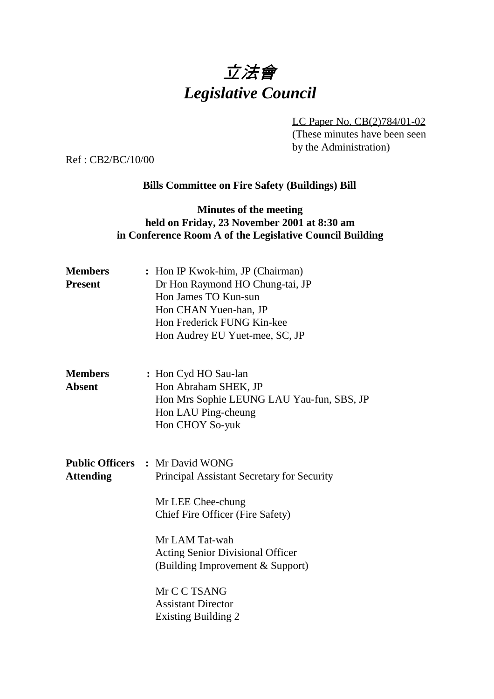# 立法會 *Legislative Council*

LC Paper No. CB(2)784/01-02 (These minutes have been seen by the Administration)

Ref : CB2/BC/10/00

#### **Bills Committee on Fire Safety (Buildings) Bill**

### **Minutes of the meeting held on Friday, 23 November 2001 at 8:30 am in Conference Room A of the Legislative Council Building**

| <b>Members</b><br><b>Present</b> | : Hon IP Kwok-him, JP (Chairman)<br>Dr Hon Raymond HO Chung-tai, JP<br>Hon James TO Kun-sun<br>Hon CHAN Yuen-han, JP<br>Hon Frederick FUNG Kin-kee<br>Hon Audrey EU Yuet-mee, SC, JP                                                           |
|----------------------------------|------------------------------------------------------------------------------------------------------------------------------------------------------------------------------------------------------------------------------------------------|
| <b>Members</b><br><b>Absent</b>  | : Hon Cyd HO Sau-lan<br>Hon Abraham SHEK, JP<br>Hon Mrs Sophie LEUNG LAU Yau-fun, SBS, JP<br>Hon LAU Ping-cheung<br>Hon CHOY So-yuk                                                                                                            |
| <b>Attending</b>                 | <b>Public Officers : Mr David WONG</b><br>Principal Assistant Secretary for Security<br>Mr LEE Chee-chung<br>Chief Fire Officer (Fire Safety)<br>Mr LAM Tat-wah<br><b>Acting Senior Divisional Officer</b><br>(Building Improvement & Support) |
|                                  | Mr C C TSANG<br><b>Assistant Director</b><br><b>Existing Building 2</b>                                                                                                                                                                        |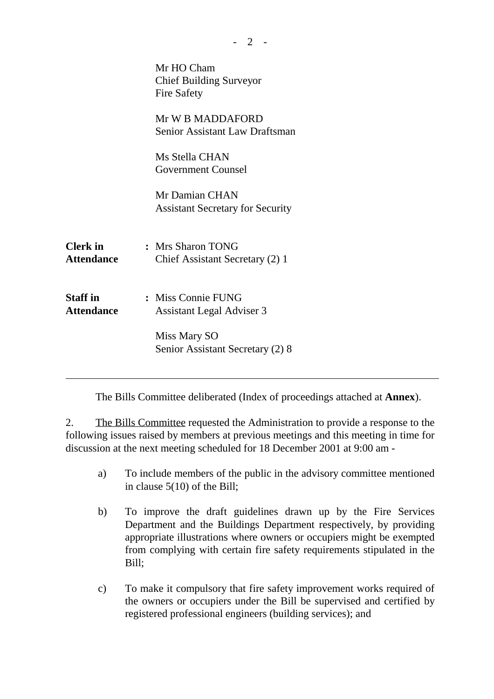| Mr HO Cham<br><b>Chief Building Surveyor</b><br><b>Fire Safety</b> |
|--------------------------------------------------------------------|
| Mr W B MADDAFORD<br><b>Senior Assistant Law Draftsman</b>          |
| Ms Stella CHAN<br><b>Government Counsel</b>                        |
| Mr Damian CHAN<br><b>Assistant Secretary for Security</b>          |
| : Mrs Sharon TONG<br>Chief Assistant Secretary (2) 1               |
| : Miss Connie FUNG<br>Assistant Legal Adviser 3                    |
| Miss Mary SO<br>Senior Assistant Secretary (2) 8                   |
|                                                                    |

The Bills Committee deliberated (Index of proceedings attached at **Annex**).

2. The Bills Committee requested the Administration to provide a response to the following issues raised by members at previous meetings and this meeting in time for discussion at the next meeting scheduled for 18 December 2001 at 9:00 am -

 $-2 -$ 

- a) To include members of the public in the advisory committee mentioned in clause 5(10) of the Bill;
- b) To improve the draft guidelines drawn up by the Fire Services Department and the Buildings Department respectively, by providing appropriate illustrations where owners or occupiers might be exempted from complying with certain fire safety requirements stipulated in the Bill;
- c) To make it compulsory that fire safety improvement works required of the owners or occupiers under the Bill be supervised and certified by registered professional engineers (building services); and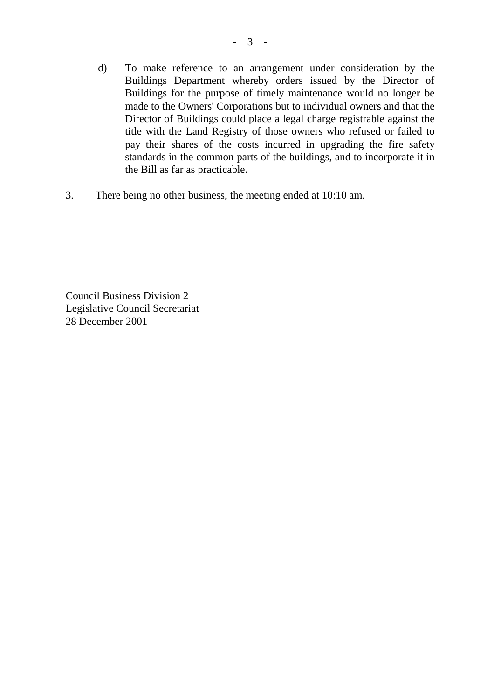- d) To make reference to an arrangement under consideration by the Buildings Department whereby orders issued by the Director of Buildings for the purpose of timely maintenance would no longer be made to the Owners' Corporations but to individual owners and that the Director of Buildings could place a legal charge registrable against the title with the Land Registry of those owners who refused or failed to pay their shares of the costs incurred in upgrading the fire safety standards in the common parts of the buildings, and to incorporate it in the Bill as far as practicable.
- 3. There being no other business, the meeting ended at 10:10 am.

Council Business Division 2 Legislative Council Secretariat 28 December 2001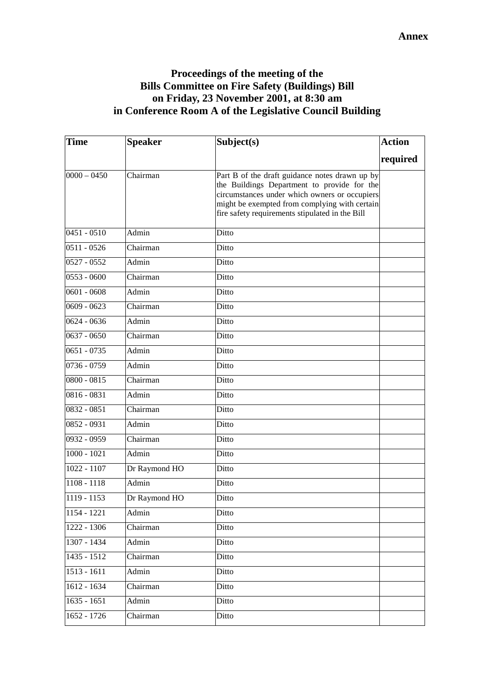## **Proceedings of the meeting of the Bills Committee on Fire Safety (Buildings) Bill on Friday, 23 November 2001, at 8:30 am in Conference Room A of the Legislative Council Building**

| <b>Time</b>   | <b>Speaker</b> | Subject(s)                                                                                                                                                                                                                                         | <b>Action</b> |
|---------------|----------------|----------------------------------------------------------------------------------------------------------------------------------------------------------------------------------------------------------------------------------------------------|---------------|
|               |                |                                                                                                                                                                                                                                                    | required      |
| $0000 - 0450$ | Chairman       | Part B of the draft guidance notes drawn up by<br>the Buildings Department to provide for the<br>circumstances under which owners or occupiers<br>might be exempted from complying with certain<br>fire safety requirements stipulated in the Bill |               |
| $0451 - 0510$ | Admin          | Ditto                                                                                                                                                                                                                                              |               |
| $0511 - 0526$ | Chairman       | Ditto                                                                                                                                                                                                                                              |               |
| $0527 - 0552$ | Admin          | Ditto                                                                                                                                                                                                                                              |               |
| $0553 - 0600$ | Chairman       | Ditto                                                                                                                                                                                                                                              |               |
| $0601 - 0608$ | Admin          | Ditto                                                                                                                                                                                                                                              |               |
| $0609 - 0623$ | Chairman       | Ditto                                                                                                                                                                                                                                              |               |
| $0624 - 0636$ | Admin          | Ditto                                                                                                                                                                                                                                              |               |
| $0637 - 0650$ | Chairman       | Ditto                                                                                                                                                                                                                                              |               |
| $0651 - 0735$ | Admin          | Ditto                                                                                                                                                                                                                                              |               |
| 0736 - 0759   | Admin          | Ditto                                                                                                                                                                                                                                              |               |
| $0800 - 0815$ | Chairman       | Ditto                                                                                                                                                                                                                                              |               |
| $0816 - 0831$ | Admin          | Ditto                                                                                                                                                                                                                                              |               |
| 0832 - 0851   | Chairman       | Ditto                                                                                                                                                                                                                                              |               |
| $0852 - 0931$ | Admin          | Ditto                                                                                                                                                                                                                                              |               |
| 0932 - 0959   | Chairman       | Ditto                                                                                                                                                                                                                                              |               |
| $1000 - 1021$ | Admin          | Ditto                                                                                                                                                                                                                                              |               |
| $1022 - 1107$ | Dr Raymond HO  | Ditto                                                                                                                                                                                                                                              |               |
| $1108 - 1118$ | Admin          | Ditto                                                                                                                                                                                                                                              |               |
| 1119 - 1153   | Dr Raymond HO  | Ditto                                                                                                                                                                                                                                              |               |
| 1154 - 1221   | Admin          | Ditto                                                                                                                                                                                                                                              |               |
| 1222 - 1306   | Chairman       | Ditto                                                                                                                                                                                                                                              |               |
| 1307 - 1434   | Admin          | Ditto                                                                                                                                                                                                                                              |               |
| 1435 - 1512   | Chairman       | Ditto                                                                                                                                                                                                                                              |               |
| 1513 - 1611   | Admin          | Ditto                                                                                                                                                                                                                                              |               |
| 1612 - 1634   | Chairman       | Ditto                                                                                                                                                                                                                                              |               |
| $1635 - 1651$ | Admin          | Ditto                                                                                                                                                                                                                                              |               |
| $1652 - 1726$ | Chairman       | Ditto                                                                                                                                                                                                                                              |               |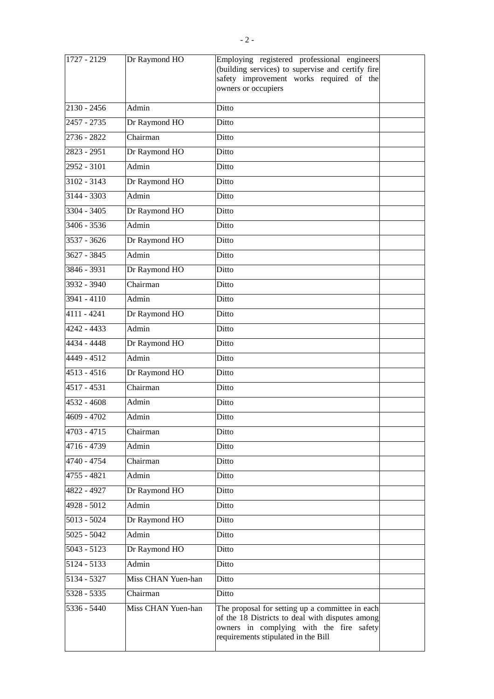| 1727 - 2129   | Dr Raymond HO      | Employing registered professional engineers<br>(building services) to supervise and certify fire<br>safety improvement works required of the<br>owners or occupiers                   |  |
|---------------|--------------------|---------------------------------------------------------------------------------------------------------------------------------------------------------------------------------------|--|
| $2130 - 2456$ | Admin              | Ditto                                                                                                                                                                                 |  |
| 2457 - 2735   | Dr Raymond HO      | Ditto                                                                                                                                                                                 |  |
| 2736 - 2822   | Chairman           | Ditto                                                                                                                                                                                 |  |
| 2823 - 2951   | Dr Raymond HO      | Ditto                                                                                                                                                                                 |  |
| 2952 - 3101   | Admin              | Ditto                                                                                                                                                                                 |  |
| $3102 - 3143$ | Dr Raymond HO      | Ditto                                                                                                                                                                                 |  |
| 3144 - 3303   | Admin              | Ditto                                                                                                                                                                                 |  |
| 3304 - 3405   | Dr Raymond HO      | Ditto                                                                                                                                                                                 |  |
| 3406 - 3536   | Admin              | Ditto                                                                                                                                                                                 |  |
| 3537 - 3626   | Dr Raymond HO      | Ditto                                                                                                                                                                                 |  |
| $3627 - 3845$ | Admin              | Ditto                                                                                                                                                                                 |  |
| $3846 - 3931$ | Dr Raymond HO      | Ditto                                                                                                                                                                                 |  |
| $3932 - 3940$ | Chairman           | Ditto                                                                                                                                                                                 |  |
| 3941 - 4110   | Admin              | Ditto                                                                                                                                                                                 |  |
| 4111 - 4241   | Dr Raymond HO      | Ditto                                                                                                                                                                                 |  |
| 4242 - 4433   | Admin              | Ditto                                                                                                                                                                                 |  |
| 4434 - 4448   | Dr Raymond HO      | Ditto                                                                                                                                                                                 |  |
| 4449 - 4512   | Admin              | Ditto                                                                                                                                                                                 |  |
| 4513 - 4516   | Dr Raymond HO      | Ditto                                                                                                                                                                                 |  |
| 4517 - 4531   | Chairman           | Ditto                                                                                                                                                                                 |  |
| 4532 - 4608   | Admin              | Ditto                                                                                                                                                                                 |  |
| $4609 - 4702$ | Admin              | Ditto                                                                                                                                                                                 |  |
| 4703 - 4715   | Chairman           | Ditto                                                                                                                                                                                 |  |
| 4716 - 4739   | Admin              | Ditto                                                                                                                                                                                 |  |
| 4740 - 4754   | Chairman           | Ditto                                                                                                                                                                                 |  |
| 4755 - 4821   | Admin              | Ditto                                                                                                                                                                                 |  |
| 4822 - 4927   | Dr Raymond HO      | Ditto                                                                                                                                                                                 |  |
| 4928 - 5012   | Admin              | Ditto                                                                                                                                                                                 |  |
| $5013 - 5024$ | Dr Raymond HO      | Ditto                                                                                                                                                                                 |  |
| $5025 - 5042$ | Admin              | Ditto                                                                                                                                                                                 |  |
| $5043 - 5123$ | Dr Raymond HO      | Ditto                                                                                                                                                                                 |  |
| 5124 - 5133   | Admin              | Ditto                                                                                                                                                                                 |  |
| 5134 - 5327   | Miss CHAN Yuen-han | Ditto                                                                                                                                                                                 |  |
| 5328 - 5335   | Chairman           | Ditto                                                                                                                                                                                 |  |
| 5336 - 5440   | Miss CHAN Yuen-han | The proposal for setting up a committee in each<br>of the 18 Districts to deal with disputes among<br>owners in complying with the fire safety<br>requirements stipulated in the Bill |  |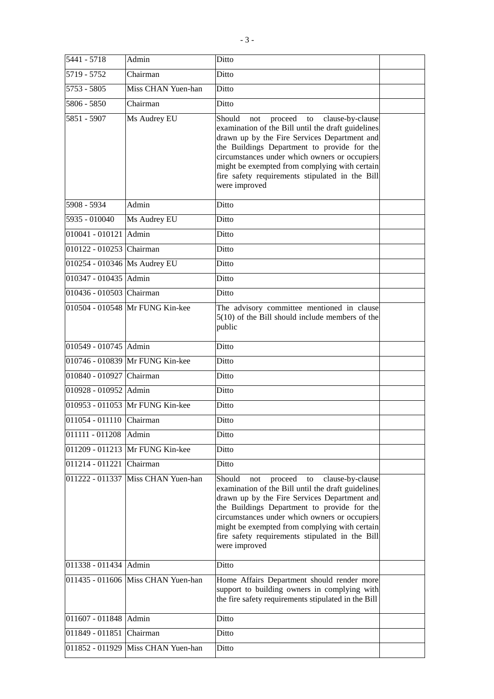| 5441 - 5718                    | Admin                              | Ditto                                                                                                                                                                                                                                                                                                                                                                         |  |
|--------------------------------|------------------------------------|-------------------------------------------------------------------------------------------------------------------------------------------------------------------------------------------------------------------------------------------------------------------------------------------------------------------------------------------------------------------------------|--|
| 5719 - 5752                    | Chairman                           | Ditto                                                                                                                                                                                                                                                                                                                                                                         |  |
| 5753 - 5805                    | Miss CHAN Yuen-han                 | Ditto                                                                                                                                                                                                                                                                                                                                                                         |  |
| 5806 - 5850                    | Chairman                           | Ditto                                                                                                                                                                                                                                                                                                                                                                         |  |
| 5851 - 5907                    | Ms Audrey EU                       | Should<br>not proceed to<br>clause-by-clause<br>examination of the Bill until the draft guidelines<br>drawn up by the Fire Services Department and<br>the Buildings Department to provide for the<br>circumstances under which owners or occupiers<br>might be exempted from complying with certain<br>fire safety requirements stipulated in the Bill<br>were improved       |  |
| 5908 - 5934                    | Admin                              | Ditto                                                                                                                                                                                                                                                                                                                                                                         |  |
| 5935 - 010040                  | Ms Audrey EU                       | Ditto                                                                                                                                                                                                                                                                                                                                                                         |  |
| $\overline{010041}$ - 010121   | Admin                              | Ditto                                                                                                                                                                                                                                                                                                                                                                         |  |
| 010122 - 010253 Chairman       |                                    | Ditto                                                                                                                                                                                                                                                                                                                                                                         |  |
| 010254 - 010346   Ms Audrey EU |                                    | Ditto                                                                                                                                                                                                                                                                                                                                                                         |  |
| 010347 - 010435 Admin          |                                    | Ditto                                                                                                                                                                                                                                                                                                                                                                         |  |
| 010436 - 010503 Chairman       |                                    | Ditto                                                                                                                                                                                                                                                                                                                                                                         |  |
|                                | 010504 - 010548 Mr FUNG Kin-kee    | The advisory committee mentioned in clause<br>$5(10)$ of the Bill should include members of the<br>public                                                                                                                                                                                                                                                                     |  |
| 010549 - 010745 Admin          |                                    | Ditto                                                                                                                                                                                                                                                                                                                                                                         |  |
|                                | 010746 - 010839 Mr FUNG Kin-kee    | Ditto                                                                                                                                                                                                                                                                                                                                                                         |  |
| 010840 - 010927 Chairman       |                                    | Ditto                                                                                                                                                                                                                                                                                                                                                                         |  |
| 010928 - 010952 Admin          |                                    | Ditto                                                                                                                                                                                                                                                                                                                                                                         |  |
|                                | 010953 - 011053 Mr FUNG Kin-kee    | Ditto                                                                                                                                                                                                                                                                                                                                                                         |  |
| 011054 - 011110 Chairman       |                                    | Ditto                                                                                                                                                                                                                                                                                                                                                                         |  |
| $011111 - 011208$              | Admin                              | Ditto                                                                                                                                                                                                                                                                                                                                                                         |  |
|                                | 011209 - 011213 Mr FUNG Kin-kee    | Ditto                                                                                                                                                                                                                                                                                                                                                                         |  |
| 011214 - 011221                | <b>Chairman</b>                    | Ditto                                                                                                                                                                                                                                                                                                                                                                         |  |
|                                | 011222 - 011337 Miss CHAN Yuen-han | Should<br>proceed<br>clause-by-clause<br>not<br>to<br>examination of the Bill until the draft guidelines<br>drawn up by the Fire Services Department and<br>the Buildings Department to provide for the<br>circumstances under which owners or occupiers<br>might be exempted from complying with certain<br>fire safety requirements stipulated in the Bill<br>were improved |  |
| 011338 - 011434 Admin          |                                    | Ditto                                                                                                                                                                                                                                                                                                                                                                         |  |
|                                | 011435 - 011606 Miss CHAN Yuen-han | Home Affairs Department should render more<br>support to building owners in complying with<br>the fire safety requirements stipulated in the Bill                                                                                                                                                                                                                             |  |
| 011607 - 011848 Admin          |                                    | Ditto                                                                                                                                                                                                                                                                                                                                                                         |  |
| 011849 - 011851                | <b>Chairman</b>                    | Ditto                                                                                                                                                                                                                                                                                                                                                                         |  |
|                                | 011852 - 011929 Miss CHAN Yuen-han | Ditto                                                                                                                                                                                                                                                                                                                                                                         |  |